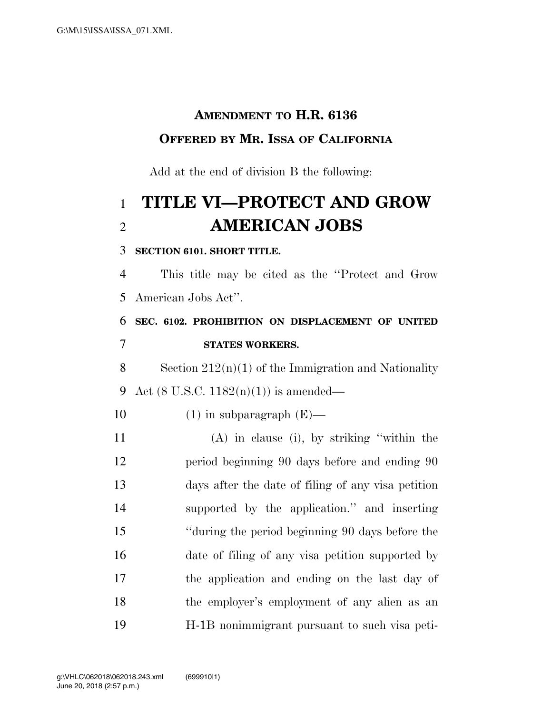## **AMENDMENT TO H.R. 6136 OFFERED BY MR. ISSA OF CALIFORNIA**

Add at the end of division B the following:

# **TITLE VI—PROTECT AND GROW AMERICAN JOBS**

#### **SECTION 6101. SHORT TITLE.**

 This title may be cited as the ''Protect and Grow American Jobs Act''.

### **SEC. 6102. PROHIBITION ON DISPLACEMENT OF UNITED STATES WORKERS.**

8 Section  $212(n)(1)$  of the Immigration and Nationality Act (8 U.S.C. 1182(n)(1)) is amended—

#### 10  $(1)$  in subparagraph  $(E)$ —

 (A) in clause (i), by striking ''within the period beginning 90 days before and ending 90 days after the date of filing of any visa petition supported by the application.'' and inserting ''during the period beginning 90 days before the date of filing of any visa petition supported by the application and ending on the last day of the employer's employment of any alien as an H-1B nonimmigrant pursuant to such visa peti-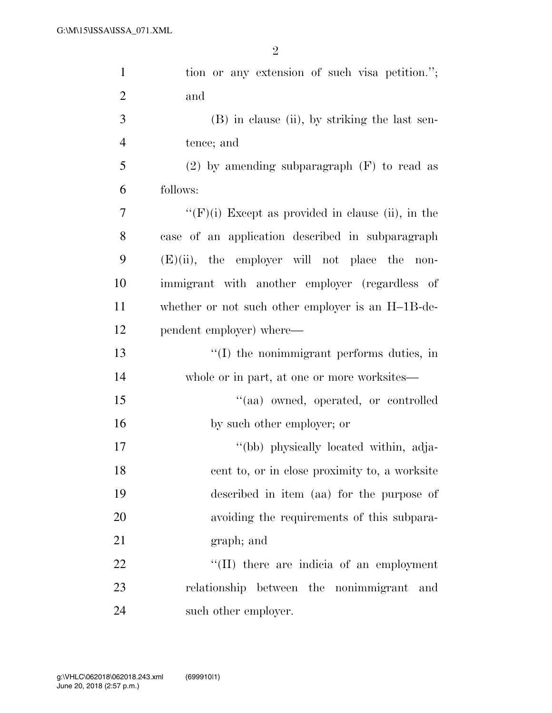| $\mathbf{1}$   | tion or any extension of such visa petition.";       |
|----------------|------------------------------------------------------|
| $\overline{2}$ | and                                                  |
| 3              | $(B)$ in clause (ii), by striking the last sen-      |
| $\overline{4}$ | tence; and                                           |
| 5              | $(2)$ by amending subparagraph $(F)$ to read as      |
| 6              | follows:                                             |
| 7              | $``(F)(i)$ Except as provided in clause (ii), in the |
| 8              | case of an application described in subparagraph     |
| 9              | $(E)(ii)$ , the employer will not place the<br>non-  |
| 10             | immigrant with another employer (regardless of       |
| 11             | whether or not such other employer is an H-1B-de-    |
| 12             | pendent employer) where—                             |
| 13             | $\lq\lq$ the nonimmigrant performs duties, in        |
| 14             | whole or in part, at one or more worksites—          |
| 15             | "(aa) owned, operated, or controlled                 |
| 16             | by such other employer; or                           |
| 17             | "(bb) physically located within, adja-               |
| 18             | cent to, or in close proximity to, a worksite        |
| 19             | described in item (aa) for the purpose of            |
| 20             | avoiding the requirements of this subpara-           |
| 21             | graph; and                                           |
| 22             | $\lq\lq$ (II) there are indicia of an employment     |
| 23             | relationship between the nonimmigrant and            |
| 24             | such other employer.                                 |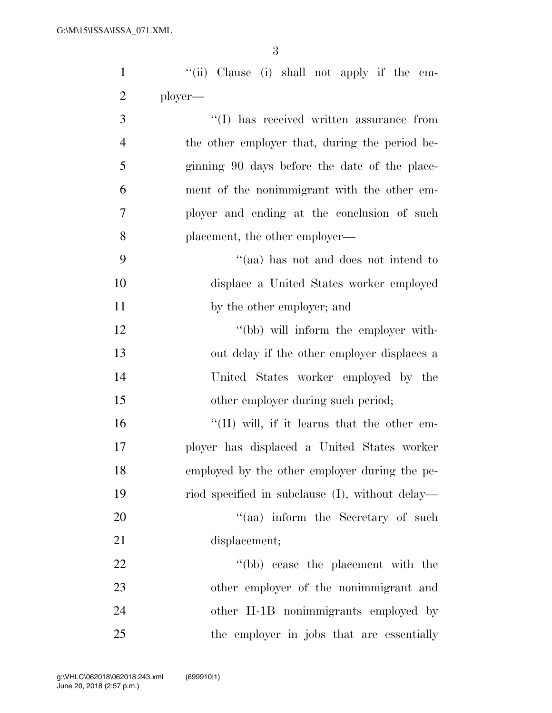''(ii) Clause (i) shall not apply if the em- ployer—  $\cdot$  (I) has received written assurance from the other employer that, during the period be- ginning 90 days before the date of the place- ment of the nonimmigrant with the other em- ployer and ending at the conclusion of such placement, the other employer— ''(aa) has not and does not intend to displace a United States worker employed 11 by the other employer; and 12 ''(bb) will inform the employer with-

 out delay if the other employer displaces a United States worker employed by the 15 other employer during such period;

 $\langle (II) \text{ will, if it learns that the other em-} \rangle$  ployer has displaced a United States worker employed by the other employer during the pe- riod specified in subclause (I), without delay—  $\frac{1}{20}$  aa) inform the Secretary of such

21 displacement;

22 ''(bb) cease the placement with the other employer of the nonimmigrant and other H-1B nonimmigrants employed by the employer in jobs that are essentially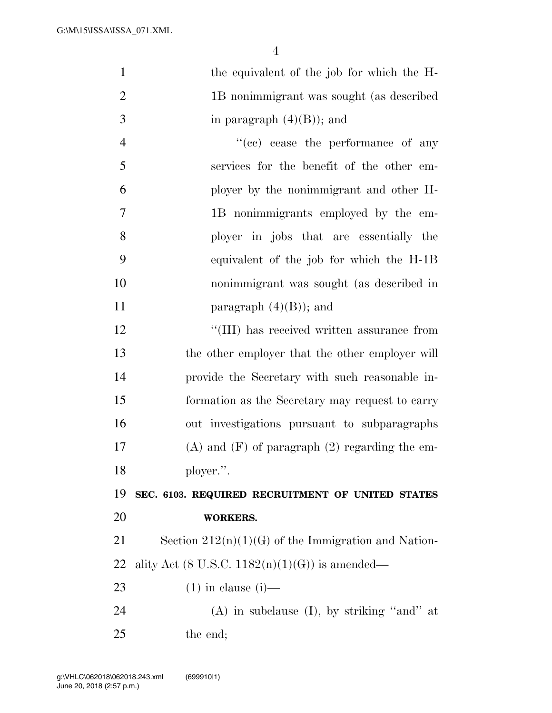| 25             | the end;                                              |
|----------------|-------------------------------------------------------|
| 24             | $(A)$ in subclause $(I)$ , by striking "and" at       |
| 23             | $(1)$ in clause $(i)$ —                               |
| <u>22</u>      | ality Act (8 U.S.C. $1182(n)(1)(G)$ ) is amended—     |
| 21             | Section $212(n)(1)(G)$ of the Immigration and Nation- |
| 20             | <b>WORKERS.</b>                                       |
| 19             | SEC. 6103. REQUIRED RECRUITMENT OF UNITED STATES      |
| 18             | ployer.".                                             |
| 17             | $(A)$ and $(F)$ of paragraph $(2)$ regarding the em-  |
| 16             | out investigations pursuant to subparagraphs          |
| 15             | formation as the Secretary may request to carry       |
| 14             | provide the Secretary with such reasonable in-        |
| 13             | the other employer that the other employer will       |
| 12             | "(III) has received written assurance from            |
| 11             | paragraph $(4)(B)$ ; and                              |
| 10             | nonimmigrant was sought (as described in              |
| 9              | equivalent of the job for which the H-1B              |
| 8              | ployer in jobs that are essentially the               |
| 7              | 1B nonimmigrants employed by the em-                  |
| 6              | ployer by the nonimmigrant and other H-               |
| 5              | services for the benefit of the other em-             |
| $\overline{4}$ | "(cc) cease the performance of any                    |
| 3              | in paragraph $(4)(B)$ ; and                           |
| $\overline{2}$ | 1B nonimmigrant was sought (as described              |
| $\mathbf{1}$   | the equivalent of the job for which the H-            |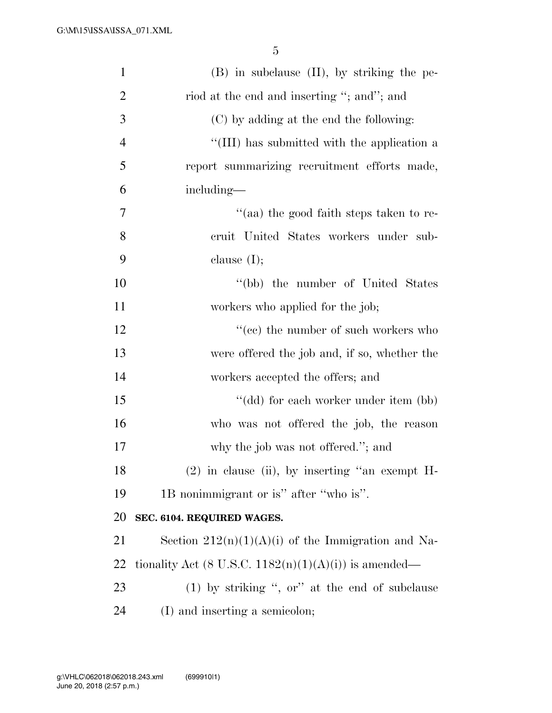| $\mathbf{1}$   | $(B)$ in subclause $(II)$ , by striking the pe-          |
|----------------|----------------------------------------------------------|
| $\overline{2}$ | riod at the end and inserting "; and"; and               |
| 3              | (C) by adding at the end the following:                  |
| $\overline{4}$ | "(III) has submitted with the application a              |
| 5              | report summarizing recruitment efforts made,             |
| 6              | including—                                               |
| 7              | "(aa) the good faith steps taken to re-                  |
| 8              | cruit United States workers under sub-                   |
| 9              | clause $(I);$                                            |
| 10             | "(bb) the number of United States                        |
| 11             | workers who applied for the job;                         |
| 12             | $``(ee)$ the number of such workers who                  |
| 13             | were offered the job and, if so, whether the             |
| 14             | workers accepted the offers; and                         |
| 15             | "(dd) for each worker under item (bb)                    |
| 16             | who was not offered the job, the reason                  |
| 17             | why the job was not offered."; and                       |
| 18             | $(2)$ in clause (ii), by inserting "an exempt H-         |
| 19             | 1B nonimmigrant or is" after "who is".                   |
| 20             | SEC. 6104. REQUIRED WAGES.                               |
| 21             | Section $212(n)(1)(A)(i)$ of the Immigration and Na-     |
| 22             | tionality Act (8 U.S.C. $1182(n)(1)(A)(i)$ ) is amended— |
| 23             | $(1)$ by striking ", or" at the end of subclause         |
| 24             | (I) and inserting a semicolon;                           |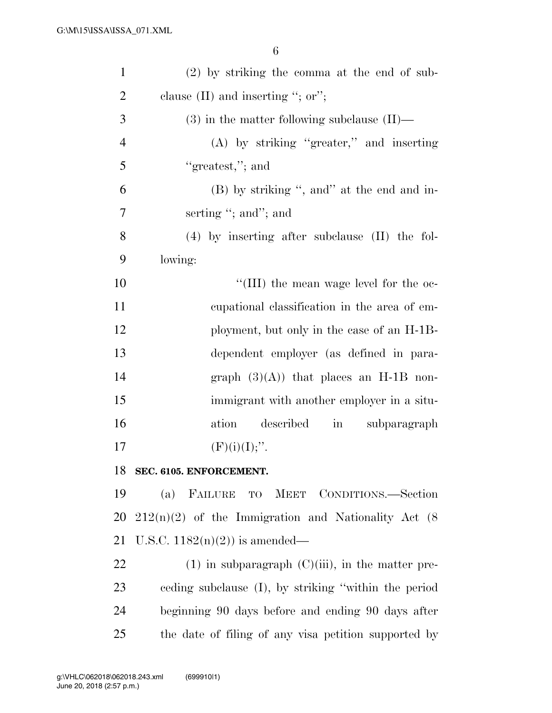| $\mathbf{1}$   | $(2)$ by striking the comma at the end of sub-         |
|----------------|--------------------------------------------------------|
| $\overline{2}$ | clause $(II)$ and inserting "; or";                    |
| 3              | $(3)$ in the matter following subclause $(II)$ —       |
| $\overline{4}$ | $(A)$ by striking "greater," and inserting             |
| 5              | "greatest,"; and                                       |
| 6              | (B) by striking ", and" at the end and in-             |
| 7              | serting "; and"; and                                   |
| 8              | $(4)$ by inserting after subclause $(II)$ the fol-     |
| 9              | lowing:                                                |
| 10             | "(III) the mean wage level for the oc-                 |
| 11             | eupational classification in the area of em-           |
| 12             | ployment, but only in the case of an H-1B-             |
| 13             | dependent employer (as defined in para-                |
| 14             | graph $(3)(A)$ that places an H-1B non-                |
| 15             | immigrant with another employer in a situ-             |
| 16             | described<br>ation<br>subparagraph<br>$\sin$           |
| 17             | $(F)(i)(I);$ ".                                        |
| 18             | SEC. 6105. ENFORCEMENT.                                |
| 19             | (a) FAILURE TO MEET CONDITIONS.—Section                |
| 20             | $212(n)(2)$ of the Immigration and Nationality Act (8) |
| 21             | U.S.C. $1182(n)(2)$ is amended—                        |
| 22             | $(1)$ in subparagraph $(C)(iii)$ , in the matter pre-  |
| 23             | eeding subclause (I), by striking "within the period   |
| 24             | beginning 90 days before and ending 90 days after      |
| 25             | the date of filing of any visa petition supported by   |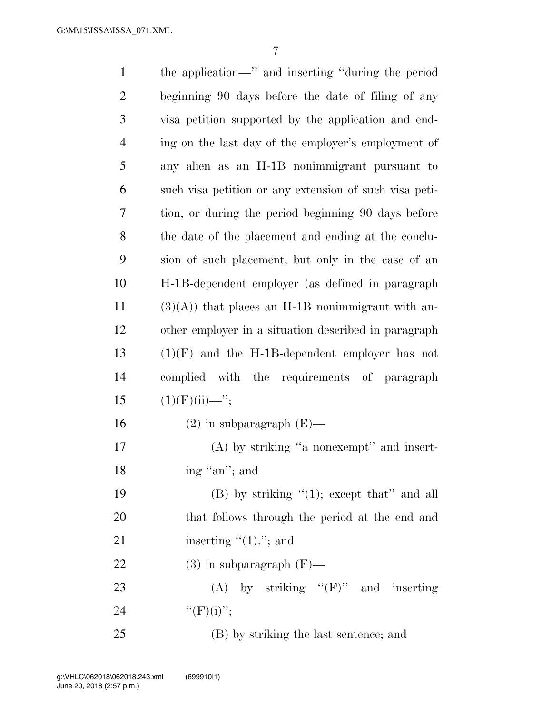| $\mathbf{1}$   | the application—" and inserting "during the period     |
|----------------|--------------------------------------------------------|
| $\overline{2}$ | beginning 90 days before the date of filing of any     |
| 3              | visa petition supported by the application and end-    |
| $\overline{4}$ | ing on the last day of the employer's employment of    |
| 5              | any alien as an H-1B nonimmigrant pursuant to          |
| 6              | such visa petition or any extension of such visa peti- |
| 7              | tion, or during the period beginning 90 days before    |
| 8              | the date of the placement and ending at the conclu-    |
| 9              | sion of such placement, but only in the case of an     |
| 10             | H-1B-dependent employer (as defined in paragraph       |
| 11             | $(3)(A)$ that places an H-1B nonimmigrant with an-     |
| 12             | other employer in a situation described in paragraph   |
| 13             | $(1)(F)$ and the H-1B-dependent employer has not       |
| 14             | complied with the requirements of paragraph            |
| 15             | $(1)(F)(ii)$ —";                                       |
| 16             | $(2)$ in subparagraph $(E)$ —                          |
| 17             | $(A)$ by striking "a nonexempt" and insert-            |
| 18             | ing "an"; and                                          |
| 19             | (B) by striking $(1)$ ; except that" and all           |
| 20             | that follows through the period at the end and         |
| 21             | inserting $"(1)$ ."; and                               |
| 22             | $(3)$ in subparagraph $(F)$ —                          |
| 23             | (A) by striking " $(F)$ " and inserting                |
| 24             | $``(F)(i)''$ ;                                         |
| 25             | (B) by striking the last sentence; and                 |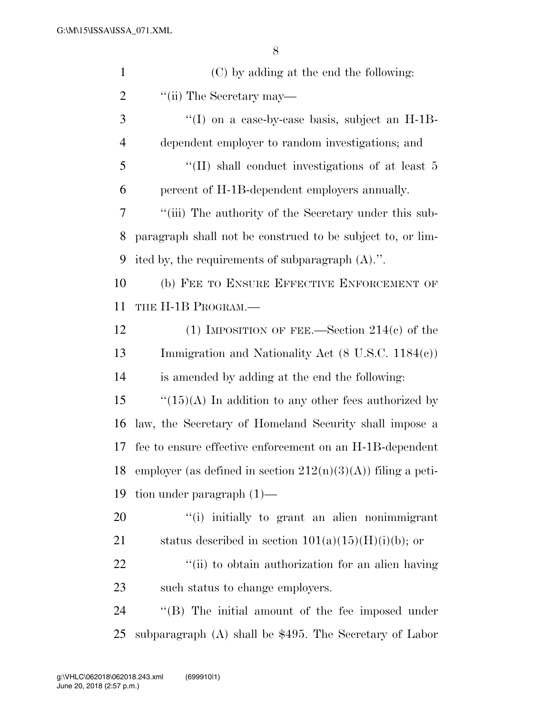| $\mathbf{1}$   | (C) by adding at the end the following:                         |
|----------------|-----------------------------------------------------------------|
| $\overline{2}$ | "(ii) The Secretary may—                                        |
| 3              | $\cdot$ (I) on a case-by-case basis, subject an H-1B-           |
| $\overline{4}$ | dependent employer to random investigations; and                |
| 5              | "(II) shall conduct investigations of at least 5                |
| 6              | percent of H-1B-dependent employers annually.                   |
| 7              | "(iii) The authority of the Secretary under this sub-           |
| 8              | paragraph shall not be construed to be subject to, or lim-      |
| 9              | ited by, the requirements of subparagraph $(A)$ .".             |
| 10             | (b) FEE TO ENSURE EFFECTIVE ENFORCEMENT OF                      |
| 11             | THE H-1B PROGRAM.—                                              |
| 12             | (1) IMPOSITION OF FEE.—Section $214(c)$ of the                  |
| 13             | Immigration and Nationality Act $(8 \text{ U.S.C. } 1184(c))$   |
| 14             | is amended by adding at the end the following:                  |
| 15             | $\lq(15)(A)$ In addition to any other fees authorized by        |
| 16             | law, the Secretary of Homeland Security shall impose a          |
| 17             | fee to ensure effective enforcement on an H-1B-dependent        |
| 18             | employer (as defined in section $212(n)(3)(A)$ ) filing a peti- |
| 19             | tion under paragraph $(1)$ —                                    |
| 20             | "(i) initially to grant an alien nonimmigrant                   |
| 21             | status described in section $101(a)(15)(H)(i)(b)$ ; or          |
| 22             | "(ii) to obtain authorization for an alien having               |
| 23             | such status to change employers.                                |
| 24             | "(B) The initial amount of the fee imposed under                |
| 25             | subparagraph $(A)$ shall be \$495. The Secretary of Labor       |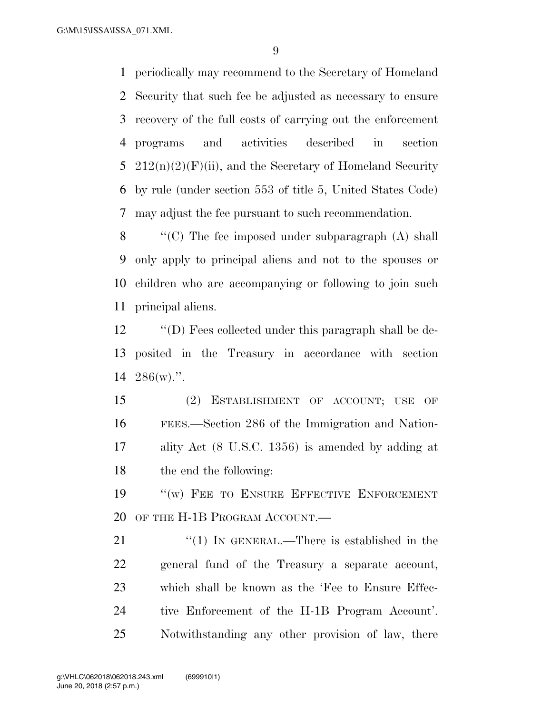G:\M\15\ISSA\ISSA\_071.XML

 periodically may recommend to the Secretary of Homeland Security that such fee be adjusted as necessary to ensure recovery of the full costs of carrying out the enforcement programs and activities described in section  $212(n)(2)(F)(ii)$ , and the Secretary of Homeland Security by rule (under section 553 of title 5, United States Code) may adjust the fee pursuant to such recommendation.

 ''(C) The fee imposed under subparagraph (A) shall only apply to principal aliens and not to the spouses or children who are accompanying or following to join such principal aliens.

 ''(D) Fees collected under this paragraph shall be de- posited in the Treasury in accordance with section 286(w).''.

 (2) ESTABLISHMENT OF ACCOUNT; USE OF FEES.—Section 286 of the Immigration and Nation- ality Act (8 U.S.C. 1356) is amended by adding at the end the following:

19 "(w) FEE TO ENSURE EFFECTIVE ENFORCEMENT 20 OF THE H-1B PROGRAM ACCOUNT.

21 "(1) IN GENERAL.—There is established in the general fund of the Treasury a separate account, which shall be known as the 'Fee to Ensure Effec- tive Enforcement of the H-1B Program Account'. Notwithstanding any other provision of law, there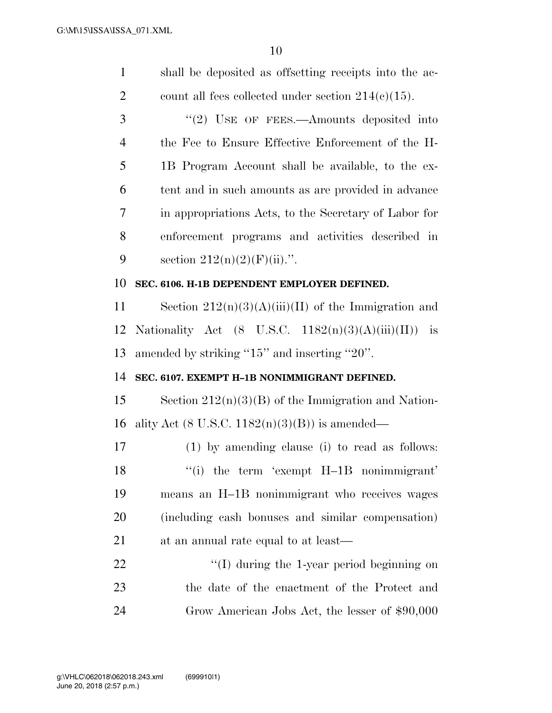| $\mathbf{1}$   | shall be deposited as offsetting receipts into the ac-                           |
|----------------|----------------------------------------------------------------------------------|
| $\overline{2}$ | count all fees collected under section $214(c)(15)$ .                            |
| 3              | $"(2)$ USE OF FEES.—Amounts deposited into                                       |
| $\overline{4}$ | the Fee to Ensure Effective Enforcement of the H-                                |
| 5              | 1B Program Account shall be available, to the ex-                                |
| 6              | tent and in such amounts as are provided in advance                              |
| 7              | in appropriations Acts, to the Secretary of Labor for                            |
| 8              | enforcement programs and activities described in                                 |
| 9              | section $212(n)(2)(F)(ii)$ .".                                                   |
| 10             | SEC. 6106. H-1B DEPENDENT EMPLOYER DEFINED.                                      |
| 11             | Section $212(n)(3)(A)(iii)(II)$ of the Immigration and                           |
| 12             | Nationality Act $(8 \text{ U.S.C. } 1182(n)(3)(\text{A})(iii)(\text{II}))$<br>is |
| 13             |                                                                                  |
|                | amended by striking "15" and inserting "20".                                     |
| 14             | SEC. 6107. EXEMPT H-1B NONIMMIGRANT DEFINED.                                     |
| 15             | Section $212(n)(3)(B)$ of the Immigration and Nation-                            |
| 16             | ality Act $(8 \text{ U.S.C. } 1182(n)(3)(B))$ is amended—                        |
| 17             | (1) by amending clause (i) to read as follows:                                   |
| 18             | $``(i)$ the term 'exempt $H-1B$ nonimmigrant'                                    |
| 19             | means an H-1B nonimmigrant who receives wages                                    |
| 20             | (including cash bonuses and similar compensation)                                |
| 21             | at an annual rate equal to at least—                                             |
| 22             | $\lq$ (I) during the 1-year period beginning on                                  |
| 23             | the date of the enactment of the Protect and                                     |
| 24             | Grow American Jobs Act, the lesser of \$90,000                                   |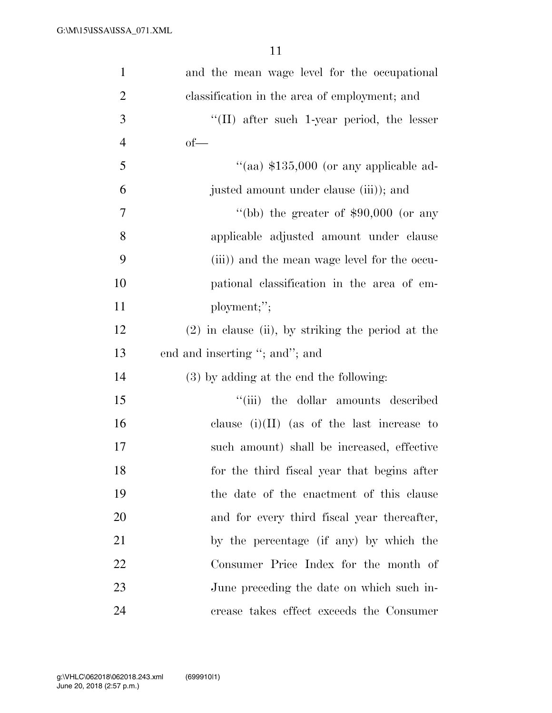| $\mathbf{1}$   | and the mean wage level for the occupational        |
|----------------|-----------------------------------------------------|
| $\overline{2}$ | classification in the area of employment; and       |
| 3              | $\lq\lq$ (II) after such 1-year period, the lesser  |
| $\overline{4}$ | $of$ —                                              |
| 5              | "(aa) $$135,000$ (or any applicable ad-             |
| 6              | justed amount under clause (iii)); and              |
| 7              | "(bb) the greater of $$90,000$ (or any              |
| 8              | applicable adjusted amount under clause             |
| 9              | (iii)) and the mean wage level for the occu-        |
| 10             | pational classification in the area of em-          |
| 11             | ployment;";                                         |
| 12             | $(2)$ in clause (ii), by striking the period at the |
| 13             | end and inserting "; and"; and                      |
| 14             | $(3)$ by adding at the end the following:           |
| 15             | "(iii) the dollar amounts described                 |
| 16             | clause $(i)(II)$ (as of the last increase to        |
| 17             | such amount) shall be increased, effective          |
| 18             | for the third fiscal year that begins after         |
| 19             | the date of the enactment of this clause            |
| 20             | and for every third fiscal year thereafter,         |
| 21             | by the percentage (if any) by which the             |
| 22             | Consumer Price Index for the month of               |
| 23             | June preceding the date on which such in-           |
| 24             | crease takes effect exceeds the Consumer            |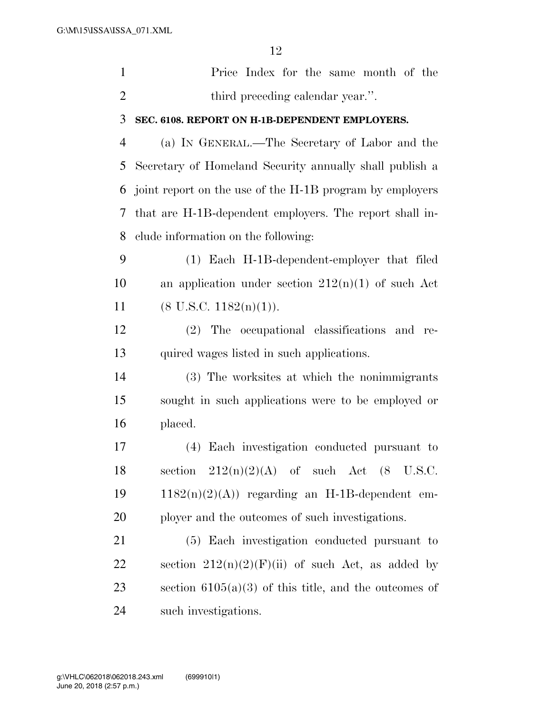$1<sub>2</sub>$ 

|                | 12                                                       |
|----------------|----------------------------------------------------------|
| $\mathbf{1}$   | Price Index for the same month of the                    |
| $\overline{2}$ | third preceding calendar year.".                         |
| 3              | SEC. 6108. REPORT ON H-1B-DEPENDENT EMPLOYERS.           |
| $\overline{4}$ | (a) IN GENERAL.—The Secretary of Labor and the           |
| 5              | Secretary of Homeland Security annually shall publish a  |
| 6              | joint report on the use of the H-1B program by employers |
| 7              | that are H-1B-dependent employers. The report shall in-  |
| 8              | clude information on the following:                      |
| 9              | (1) Each H-1B-dependent-employer that filed              |
| 10             | an application under section $212(n)(1)$ of such Act     |
| 11             | $(8 \text{ U.S.C. } 1182(n)(1)).$                        |
| 12             | (2) The occupational classifications and re-             |
| 13             | quired wages listed in such applications.                |
| 14             | (3) The worksites at which the nonimmigrants             |
| 15             | sought in such applications were to be employed or       |
| 16             | placed.                                                  |
| 17             | (4) Each investigation conducted pursuant to             |
| 18             | section $212(n)(2)(A)$ of such Act $(8 \text{ U.S.C.})$  |
| 19             | $1182(n)(2)(A)$ regarding an H-1B-dependent em-          |
| 20             | ployer and the outcomes of such investigations.          |
| 21             | (5) Each investigation conducted pursuant to             |
| 22             | section $212(n)(2)(F)(ii)$ of such Act, as added by      |
| 23             | section $6105(a)(3)$ of this title, and the outcomes of  |
| 24             | such investigations.                                     |
|                |                                                          |